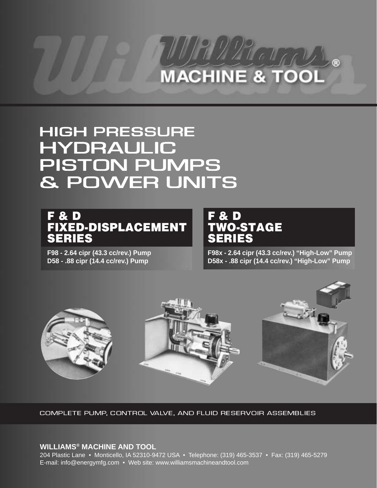# MACHINE & TOOL

# **HIGH PRESSURE** HYDRAULIC HYDRAULIC **PISTON PUMPS** & POWER UNITS & POWER UNITS

# **F & D FIXED-DISPLACEMENT SERIES**

**F98 - 2.64 cipr (43.3 cc/rev.) Pump D58 - .88 cipr (14.4 cc/rev.) Pump**

# **F & D TWO-STAGE SERIES**

**F98x - 2.64 cipr (43.3 cc/rev.) "High-Low" Pump D58x - .88 cipr (14.4 cc/rev.) "High-Low" Pump**



Complete pump, control valve, and fluid reservoir assemblies

## **WILLIAMS® MACHINE AND TOOL**

204 Plastic Lane • Monticello, IA 52310-9472 USA • Telephone: (319) 465-3537 • Fax: (319) 465-5279 E-mail: info@energymfg.com • Web site: www.williamsmachineandtool.com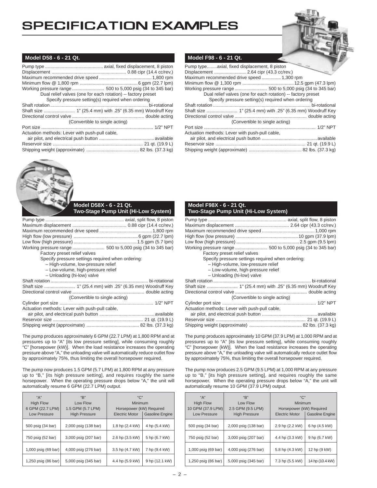# SPECIFICATION EXAMPLES



## **Model D58 - 6 - 21 Qt.**

| Dual relief valves (one for each rotation) -- factory preset |  |
|--------------------------------------------------------------|--|
| Specify pressure setting(s) required when ordering           |  |
|                                                              |  |
|                                                              |  |
|                                                              |  |
| (Convertible to single acting)                               |  |
|                                                              |  |
| Actuation methods: Lever with push-pull cable,               |  |
|                                                              |  |
|                                                              |  |
|                                                              |  |



#### **Model D58X - 6 - 21 Qt. Two-Stage Pump Unit (Hi-Low System)**

| Factory preset relief valves                      |
|---------------------------------------------------|
| Specify pressure settings required when ordering: |
| - High-volume, low-pressure relief                |
| - Low-volume, high-pressure relief                |
| - Unloading (hi-low) valve                        |
|                                                   |
|                                                   |
|                                                   |
| (Convertible to single acting)                    |
|                                                   |
| Actuation methods: Lever with push-pull cable,    |
|                                                   |
|                                                   |
|                                                   |

The pump produces approximately 6 GPM (22.7 LPM) at 1,800 RPM and at pressures up to "A" [its low pressure setting], while consuming roughly "C" [horsepower (kW)]. When the load resistance increases the operating pressure above "A," the unloading valve will automatically reduce outlet flow by approximately 75%, thus limiting the overall horsepower required.

The pump now produces 1.5 GPM (5.7 LPM) at 1,800 RPM at any pressure up to "B," [its high pressure setting], and requires roughly the same horsepower. When the operating pressure drops below "A," the unit will automatically resume 6 GPM (22.7 LPM) output.

| "А"<br><b>High Flow</b><br>6 GPM (22.7 LPM)<br><b>Low Pressure</b> | "B"<br>Low Flow<br>1.5 GPM (5.7 LPM)<br><b>High Pressure</b> | C''''<br>Minimum<br>Horsepower (kW) Required<br><b>Electric Motor</b> | <b>Gasoline Engine</b> |
|--------------------------------------------------------------------|--------------------------------------------------------------|-----------------------------------------------------------------------|------------------------|
| 500 psig (34 bar)                                                  | 2,000 psig (138 bar)                                         | 1.8 hp (2.4 kW)                                                       | 4 hp (5.4 kW)          |
| 750 psig (52 bar)                                                  | 3,000 psig (207 bar)                                         | 2.6 hp (3.5 kW)                                                       | 5 hp (6.7 kW)          |
| 1,000 psig (69 bar)                                                | 4,000 psig (276 bar)                                         | 3.5 hp (4.7 kW)                                                       | 7 hp (9.4 kW)          |
| 1,250 psig (86 bar)                                                | 5,000 psig (345 bar)                                         | 4.4 hp (5.9 kW)                                                       | 9 hp (12.1 kW)         |

### **Model F98 - 6 - 21 Qt.**

#### **Model F98X - 6 - 21 Qt. Two-Stage Pump Unit (Hi-Low System)**

| Working pressure range  500 to 5,000 psig (34 to 345 bar) |  |
|-----------------------------------------------------------|--|
| Factory preset relief valves                              |  |
| Specify pressure settings required when ordering:         |  |
| - High-volume, low-pressure relief                        |  |
| - Low-volume, high-pressure relief                        |  |
| - Unloading (hi-low) valve                                |  |
|                                                           |  |
| Shaft size  1" (25.4 mm) with .25" (6.35 mm) Woodruff Key |  |
|                                                           |  |
| (Convertible to single acting)                            |  |
|                                                           |  |
| Actuation methods: Lever with push-pull cable,            |  |
|                                                           |  |
|                                                           |  |
|                                                           |  |

The pump produces approximately 10 GPM (37.9 LPM) at 1,000 RPM and at pressures up to "A" [its low pressure setting], while consuming roughly "C" [horsepower (kW)]. When the load resistance increases the operating pressure above "A," the unloading valve will automatically reduce outlet flow by approximately 75%, thus limiting the overall horsepower required.

The pump now produces 2.5 GPM (9.5 LPM) at 1,000 RPM at any pressure up to "B," [its high pressure setting], and requires roughly the same horsepower. When the operating pressure drops below "A," the unit will automatically resume 10 GPM (37.9 LPM) output.

| "A"<br><b>High Flow</b><br>10 GPM (37.9 LPM) | "B"<br>Low Flow<br>2.5 GPM (9.5 LPM) | "C"<br>Minimum<br>Horsepower (kW) Required      |                 |
|----------------------------------------------|--------------------------------------|-------------------------------------------------|-----------------|
| <b>Low Pressure</b>                          | <b>High Pressure</b>                 | <b>Gasoline Engine</b><br><b>Electric Motor</b> |                 |
| 500 psig (34 bar)                            | 2,000 psig (138 bar)                 | 2.9 hp (2.2 kW)                                 | 6 hp (4.5 kW)   |
| 750 psig (52 bar)                            | 3,000 psig (207 bar)                 | 4.4 hp (3.3 kW)                                 | 9 hp (6.7 kW)   |
| 1,000 psig (69 bar)                          | 4,000 psig (276 bar)                 | 5.8 hp (4.3 kW)                                 | 12 hp (9 kW)    |
| 1,250 psig (86 bar)                          | 5,000 psig (345 bar)                 | 7.3 hp (5.5 kW)                                 | 14 hp (10.4 kW) |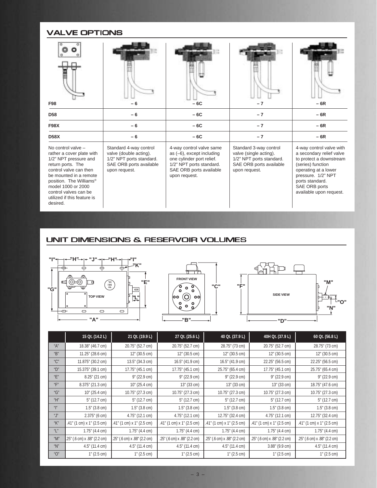## VALVE OPTIONS

| <b>F98</b>                                                                                                                                                                                                                                                             |                                                                                                                          | $-6C$                                                                                                                                                         | $-7$                                                                                                                     | $-6R$                                                                                                                                                                                                             |  |
|------------------------------------------------------------------------------------------------------------------------------------------------------------------------------------------------------------------------------------------------------------------------|--------------------------------------------------------------------------------------------------------------------------|---------------------------------------------------------------------------------------------------------------------------------------------------------------|--------------------------------------------------------------------------------------------------------------------------|-------------------------------------------------------------------------------------------------------------------------------------------------------------------------------------------------------------------|--|
| D <sub>58</sub>                                                                                                                                                                                                                                                        | $-6C$<br>$-6$                                                                                                            |                                                                                                                                                               | $-7$                                                                                                                     | $-6R$                                                                                                                                                                                                             |  |
| <b>F98X</b>                                                                                                                                                                                                                                                            | $-6$                                                                                                                     | $-6C$                                                                                                                                                         | $-7$                                                                                                                     | $-6R$                                                                                                                                                                                                             |  |
| <b>D58X</b>                                                                                                                                                                                                                                                            | $-6$                                                                                                                     | $-6C$                                                                                                                                                         | $-7$                                                                                                                     | $-6R$                                                                                                                                                                                                             |  |
| No control valve -<br>rather a cover plate with<br>1/2" NPT pressure and<br>return ports. The<br>control valve can then<br>be mounted in a remote<br>position. The Williams®<br>model 1000 or 2000<br>control valves can be<br>utilized if this feature is<br>desired. | Standard 4-way control<br>valve (double acting).<br>1/2" NPT ports standard.<br>SAE ORB ports available<br>upon request. | 4-way control valve same<br>as $(-6)$ , except including<br>one cylinder port relief.<br>1/2" NPT ports standard.<br>SAE ORB ports available<br>upon request. | Standard 3-way control<br>valve (single acting).<br>1/2" NPT ports standard.<br>SAE ORB ports available<br>upon request. | 4-way control valve with<br>a secondary relief valve<br>to protect a downstream<br>(series) function<br>operating at a lower<br>pressure. 1/2" NPT<br>ports standard.<br>SAE ORB ports<br>available upon request. |  |

## UNIT DIMENSIONS & RESERVOIR VOLUMES







|              | 15 Qt. (14.2 L)              | 21 Qt. (19.9 L)              | 27 Qt. (25.6 L)              | 40 Qt. (37.9 L)              | 40H Qt. (37.9 L)             | 60 Qt. (56.8 L)              |
|--------------|------------------------------|------------------------------|------------------------------|------------------------------|------------------------------|------------------------------|
| $A$ "A"      | 18.38" (46.7 cm)             | 20.75" (52.7 cm)             | 20.75" (52.7 cm)             | 28.75" (73 cm)               | 20.75" (52.7 cm)             | 28.75" (73 cm)               |
| "B"          | 11.25" (28.6 cm)             | 12" (30.5 cm)                | 12" (30.5 cm)                | 12" (30.5 cm)                | 12" (30.5 cm)                | 12" (30.5 cm)                |
| "C"          | 11.875" (30.2 cm)            | 13.5" (34.3 cm)              | 16.5" (41.9 cm)              | 16.5" (41.9 cm)              | 22.25" (56.5 cm)             | 22.25" (56.5 cm)             |
| "D"          | 15.375" (39.1 cm)            | 17.75" (45.1 cm)             | 17.75" (45.1 cm)             | 25.75" (65.4 cm)             | 17.75" (45.1 cm)             | 25.75" (65.4 cm)             |
| "E"          | 8.25" (21 cm)                | $9''$ (22.9 cm)              | 9" (22.9 cm)                 | $9''$ (22.9 cm)              | $9''$ (22.9 cm)              | $9''$ (22.9 cm)              |
| "F"          | 8.375" (21.3 cm)             | 10" (25.4 cm)                | 13" (33 cm)                  | 13" (33 cm)                  | 13" (33 cm)                  | 18.75" (47.6 cm)             |
| "G"          | 10" (25.4 cm)                | 10.75" (27.3 cm)             | 10.75" (27.3 cm)             | 10.75" (27.3 cm)             | 10.75" (27.3 cm)             | 10.75" (27.3 cm)             |
| "H"          | 5" (12.7 cm)                 | 5" (12.7 cm)                 | 5" (12.7 cm)                 | 5" (12.7 cm)                 | 5" (12.7 cm)                 | 5" (12.7 cm)                 |
| $\mathbf{u}$ | $1.5$ " (3.8 cm)             | $1.5"$ (3.8 cm)              | $1.5$ " (3.8 cm)             | $1.5"$ (3.8 cm)              | $1.5"$ (3.8 cm)              | $1.5"$ (3.8 cm)              |
| ``J"         | 2.375" (6 cm)                | 4.75" (12.1 cm)              | 4.75" (12.1 cm)              | 12.75" (32.4 cm)             | 4.75" (12.1 cm)              | 12.75" (32.4 cm)             |
| "K"          | .41" (1 cm) x 1" (2.5 cm)    | .41" (1 cm) x 1" (2.5 cm)    | .41" (1 cm) x 1" (2.5 cm)    | $.41$ " (1 cm) x 1" (2.5 cm) | .41" (1 cm) x 1" (2.5 cm)    | $.41$ " (1 cm) x 1" (2.5 cm) |
| "L"          | $1.75$ " (4.4 cm)            | $1.75$ " (4.4 cm)            | $1.75$ " (4.4 cm)            | $1.75$ " (4.4 cm)            | $1.75$ " (4.4 cm)            | $1.75$ " (4.4 cm)            |
| "M"          | .25" (.6 cm) x .88" (2.2 cm) | .25" (.6 cm) x .88" (2.2 cm) | .25" (.6 cm) x .88" (2.2 cm) | .25" (.6 cm) x .88" (2.2 cm) | .25" (.6 cm) x .88" (2.2 cm) | .25" (.6 cm) x .88" (2.2 cm) |
| "N"          | 4.5" (11.4 cm)               | 4.5" (11.4 cm)               | 4.5" (11.4 cm)               | 4.5" (11.4 cm)               | $3.88$ " (9.9 cm)            | 4.5" (11.4 cm)               |
| "O"          | 1" (2.5 cm)                  | 1" (2.5 cm)                  | 1" (2.5 cm)                  | 1" (2.5 cm)                  | 1" (2.5 cm)                  | 1" (2.5 cm)                  |